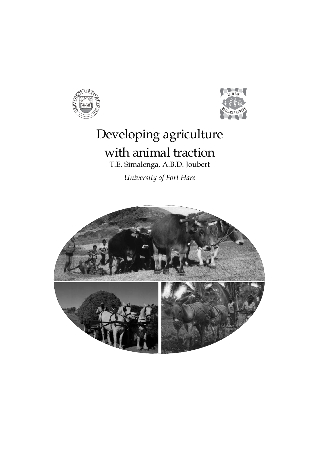



# Developing agriculture with animal traction

T.E. Simalenga, A.B.D. Joubert

*University of Fort Hare*

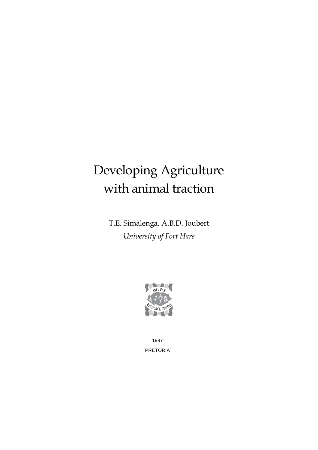# Developing Agriculture with animal traction

T.E. Simalenga, A.B.D. Joubert *University of Fort Hare*



1997 PRETORIA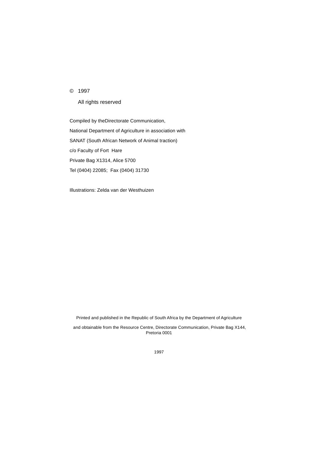#### © 1997

All rights reserved

Compiled by theDirectorate Communication, National Department of Agriculture in association with SANAT (South African Network of Animal traction) c/o Faculty of Fort Hare Private Bag X1314, Alice 5700 Tel (0404) 22085; Fax (0404) 31730

Illustrations: Zelda van der Westhuizen

Printed and published in the Republic of South Africa by the Department of Agriculture

 and obtainable from the Resource Centre, Directorate Communication, Private Bag X144, Pretoria 0001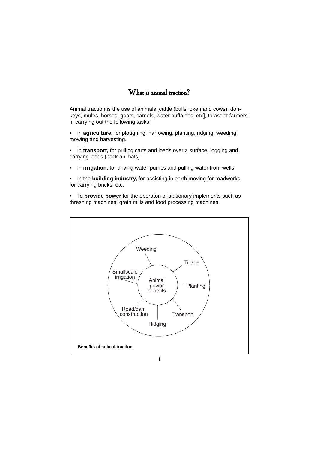### $\mathbf{W}$ hat is animal traction?

Animal traction is the use of animals [cattle (bulls, oxen and cows), donkeys, mules, horses, goats, camels, water buffaloes, etc], to assist farmers in carrying out the following tasks:

• In **agriculture,** for ploughing, harrowing, planting, ridging, weeding, mowing and harvesting.

- In **transport,** for pulling carts and loads over a surface, logging and carrying loads (pack animals).
- In **irrigation,** for driving water-pumps and pulling water from wells.
- In the **building industry,** for assisting in earth moving for roadworks, for carrying bricks, etc.

• To **provide power** for the operaton of stationary implements such as threshing machines, grain mills and food processing machines.

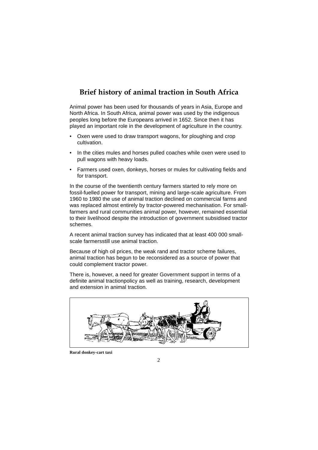## **Brief history of animal traction in South Africa**

Animal power has been used for thousands of years in Asia, Europe and North Africa. In South Africa, animal power was used by the indigenous peoples long before the Europeans arrived in 1652. Since then it has played an important role in the development of agriculture in the country.

- Oxen were used to draw transport wagons, for ploughing and crop cultivation.
- In the cities mules and horses pulled coaches while oxen were used to pull wagons with heavy loads.
- Farmers used oxen, donkeys, horses or mules for cultivating fields and for transport.

In the course of the twentienth century farmers started to rely more on fossil-fuelled power for transport, mining and large-scale agriculture. From 1960 to 1980 the use of animal traction declined on commercial farms and was replaced almost entirely by tractor-powered mechanisation. For smallfarmers and rural communities animal power, however, remained essential to their livelihood despite the introduction of government subsidised tractor schemes.

A recent animal traction survey has indicated that at least 400 000 smallscale farmersstill use animal traction.

Because of high oil prices, the weak rand and tractor scheme failures, animal traction has begun to be reconsidered as a source of power that could complement tractor power.

There is, however, a need for greater Government support in terms of a definite animal tractionpolicy as well as training, research, development and extension in animal traction.



**Rural donkey-cart taxi**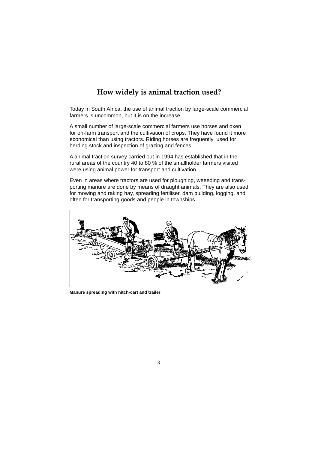# **How widely is animal traction used?**

Today in South Africa, the use of animal traction by large-scale commercial farmers is uncommon, but it is on the increase.

A small number of large-scale commercial farmers use horses and oxen for on-farm transport and the cultivation of crops. They have found it more economical than using tractors. Riding horses are frequently used for herding stock and inspection of grazing and fences.

A animal traction survey carried out in 1994 has established that in the rural areas of the country 40 to 80 % of the smallholder farmers visited were using animal power for transport and cultivation.

Even in areas where tractors are used for ploughing, weeeding and transporting manure are done by means of draught animals. They are also used for mowing and raking hay, spreading fertiliser, dam building, logging, and often for transporting goods and people in townships.



**Manure spreading with hitch-cart and trailer**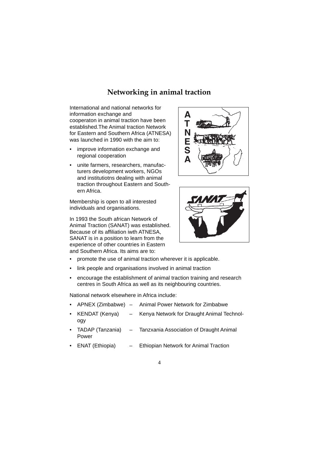## **Networking in animal traction**

International and national networks for information exchange and cooperaton in animal traction have been established.The Animal traction Network for Eastern and Southern Africa (ATNESA) was launched in 1990 with the aim to:

- improve information exchange and regional cooperation
- unite farmers, researchers, manufacturers development workers, NGOs and institutiotns dealing with animal traction throughout Eastern and Southern Africa.

Membership is open to all interested individuals and organisations.

In 1993 the South african Network of Animal Traction (SANAT) was established. Because of its affiliation iwth ATNESA, SANAT is in a position to learn from the experience of other countries in Eastern and Southern Africa. Its aims are to:





- promote the use of animal traction wherever it is applicable.
- link people and organisations involved in animal traction
- encourage the establishment of animal traction training and research centres in South Africa as well as its neighbouring countries.

National network elsewhere in Africa include:

- APNEX (Zimbabwe) Animal Power Network for Zimbabwe
- KENDAT (Kenya) Kenya Network for Draught Animal Technology
- TADAP (Tanzania) Tanzxania Association of Draught Animal Power
- ENAT (Ethiopia) Ethiopian Network for Animal Traction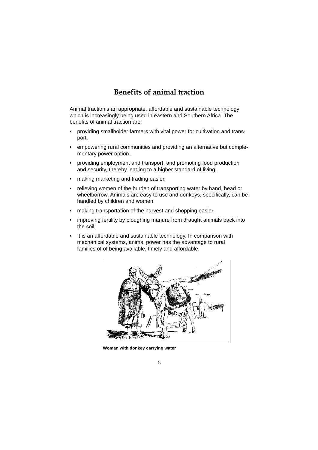## **Benefits of animal traction**

Animal tractionis an appropriate, affordable and sustainable technology which is increasingly being used in eastern and Southern Africa. The benefits of animal traction are:

- providing smallholder farmers with vital power for cultivation and transport.
- empowering rural communities and providing an alternative but complementary power option.
- providing employment and transport, and promoting food production and security, thereby leading to a higher standard of living.
- making marketing and trading easier.
- relieving women of the burden of transporting water by hand, head or wheelborrow. Animals are easy to use and donkeys, specifically, can be handled by children and women.
- making transportation of the harvest and shopping easier.
- improving fertility by ploughing manure from draught animals back into the soil.
- It is an affordable and sustainable technology. In comparison with mechanical systems, animal power has the advantage to rural families of of being available, timely and affordable.



**Woman with donkey carrying water**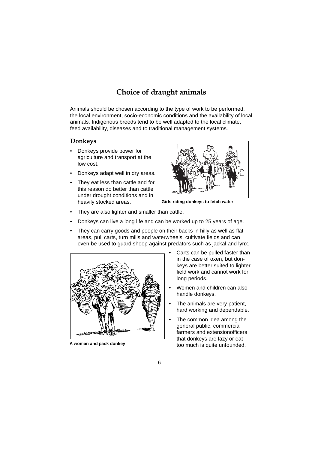# **Choice of draught animals**

Animals should be chosen according to the type of work to be performed, the local environment, socio-economic conditions and the availability of local animals. Indigenous breeds tend to be well adapted to the local climate, feed availability, diseases and to traditional management systems.

#### **Donkeys**

- Donkeys provide power for agriculture and transport at the low cost.
- Donkeys adapt well in dry areas.
- They eat less than cattle and for this reason do better than cattle under drought conditions and in heavily stocked areas. **Girls riding donkeys to fetch water**



- They are also lighter and smaller than cattle.
- Donkeys can live a long life and can be worked up to 25 years of age.
- They can carry goods and people on their backs in hilly as well as flat areas, pull carts, turn mills and waterwheels, cultivate fields and can even be used to guard sheep against predators such as jackal and lynx.



- Carts can be pulled faster than in the case of oxen, but donkeys are better suited to lighter field work and cannot work for long periods.
- Women and children can also handle donkeys.
- The animals are very patient, hard working and dependable.
- The common idea among the general public, commercial farmers and extensionofficers that donkeys are lazy or eat A woman and pack donkey<br>too much is quite unfounded.

6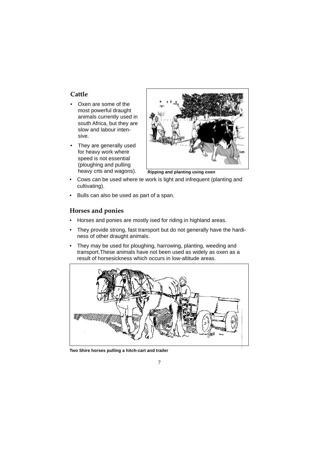#### **Cattle**

- Oxen are some of the most powerful draught animals currently used in south Africa, but they are slow and labour intensive.
- They are generally used for heavy work where speed is not essential (ploughing and pulling



heavy crts and wagons). **Ripping and planting using oxen** 

- Cows can be used where te work is light and infrequent (planting and cultivating).
- Bulls can also be used as part of a span.

#### **Horses and ponies**

- Horses and ponies are mostly ised for riding in highland areas.
- They provide strong, fast transport but do not generally have the hardiness of other draught animals.
- They may be used for ploughing, harrowing, planting, weeding and transport.These animals have not been used as widely as oxen as a result of horsesickness which occurs in low-altitude areas.



**Two Shire horses pulling a hitch-cart and trailer**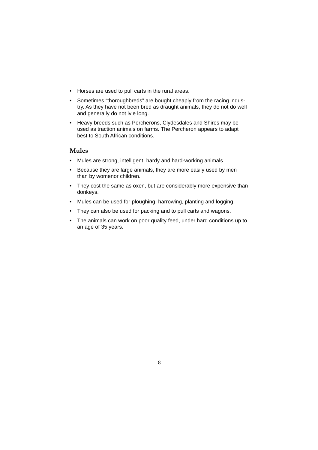- Horses are used to pull carts in the rural areas.
- Sometimes "thoroughbreds" are bought cheaply from the racing industry. As they have not been bred as draught animals, they do not do well and generally do not lvie long.
- Heavy breeds such as Percherons, Clydesdales and Shires may be used as traction animals on farms. The Percheron appears to adapt best to South African conditions.

#### **Mules**

- Mules are strong, intelligent, hardy and hard-working animals.
- Because they are large animals, they are more easily used by men than by womenor children.
- They cost the same as oxen, but are considerably more expensive than donkeys.
- Mules can be used for ploughing, harrowing, planting and logging.
- They can also be used for packing and to pull carts and wagons.
- The animals can work on poor quality feed, under hard conditions up to an age of 35 years.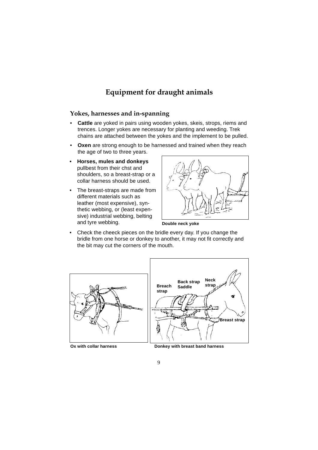# **Equipment for draught animals**

#### **Yokes, harnesses and in-spanning**

- **Cattle** are yoked in pairs using wooden yokes, skeis, strops, riems and trences. Longer yokes are necessary for planting and weeding. Trek chains are attached between the yokes and the implement to be pulled.
- **Oxen** are strong enough to be harnessed and trained when they reach the age of two to three years.
- **Horses, mules and donkeys** pullbest from their chst and shoulders, so a breast-strap or a collar harness should be used.
- The breast-straps are made from different materials such as leather (most expensive), synthetic webbing, or (least expensive) industrial webbing, belting and tyre webbing. **Double neck yoke**



• Check the cheeck pieces on the bridle every day. If you change the bridle from one horse or donkey to another, it may not fit correctly and the bit may cut the corners of the mouth.

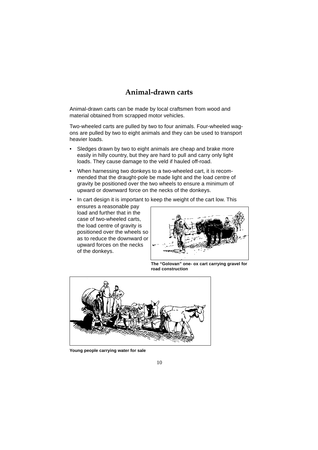## **Animal-drawn carts**

Animal-drawn carts can be made by local craftsmen from wood and material obtained from scrapped motor vehicles.

Two-wheeled carts are pulled by two to four animals. Four-wheeled wagons are pulled by two to eight animals and they can be used to transport heavier loads.

- Sledges drawn by two to eight animals are cheap and brake more easily in hilly country, but they are hard to pull and carry only light loads. They cause damage to the veld if hauled off-road.
- When harnessing two donkeys to a two-wheeled cart, it is recommended that the draught-pole be made light and the load centre of gravity be positioned over the two wheels to ensure a minimum of upward or downward force on the necks of the donkeys.
- In cart design it is important to keep the weight of the cart low. This ensures a reasonable pay load and further that in the case of two-wheeled carts, the load centre of gravity is positioned over the wheels so as to reduce the downward or upward forces on the necks of the donkeys.



**The "Golovan" one- ox cart carrying gravel for road construction**



**Young people carrying water for sale**

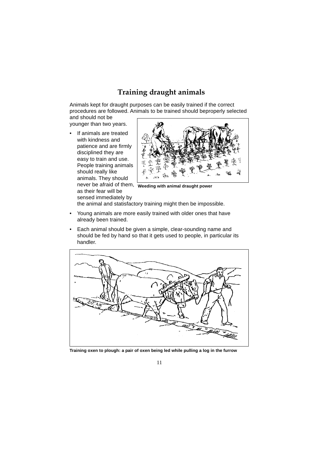# **Training draught animals**

Animals kept for draught purposes can be easily trained if the correct procedures are followed. Animals to be trained should beproperly selected and should not be

younger than two years.

• If animals are treated with kindness and patience and are firmly disciplined they are easy to train and use. People training animals should really like animals. They should as their fear will be

sensed immediately by



never be afraid of them, **Weeding with animal draught power**

the animal and statisfactory training might then be impossible.

- Young animals are more easily trained with older ones that have already been trained.
- Each animal should be given a simple, clear-sounding name and should be fed by hand so that it gets used to people, in particular its handler.



**Training oxen to plough: a pair of oxen being led while pulling a log in the furrow**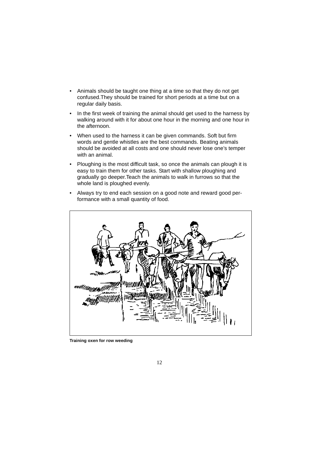- Animals should be taught one thing at a time so that they do not get confused.They should be trained for short periods at a time but on a regular daily basis.
- In the first week of training the animal should get used to the harness by walking around with it for about one hour in the morning and one hour in the afternoon.
- When used to the harness it can be given commands. Soft but firm words and gentle whistles are the best commands. Beating animals should be avoided at all costs and one should never lose one's temper with an animal.
- Ploughing is the most difficult task, so once the animals can plough it is easy to train them for other tasks. Start with shallow ploughing and gradually go deeper.Teach the animals to walk in furrows so that the whole land is ploughed evenly.
- Always try to end each session on a good note and reward good performance with a small quantity of food.



**Training oxen for row weeding**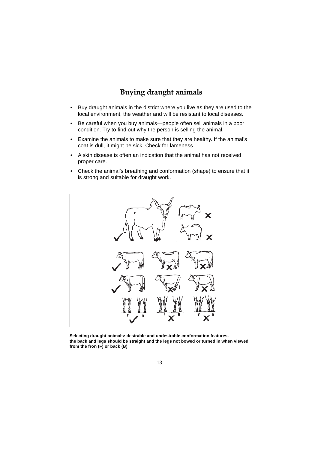# **Buying draught animals**

- Buy draught animals in the district where you live as they are used to the local environment, the weather and will be resistant to local diseases.
- Be careful when you buy animals—people often sell animals in a poor condition. Try to find out why the person is selling the animal.
- Examine the animals to make sure that they are healthy. If the animal's coat is dull, it might be sick. Check for lameness.
- A skin disease is often an indication that the animal has not received proper care.
- Check the animal's breathing and conformation (shape) to ensure that it is strong and suitable for draught work.



**Selecting draught animals: desirable and undesirable conformation features. the back and legs should be straight and the legs not bowed or turned in when viewed from the fron (F) or back (B)**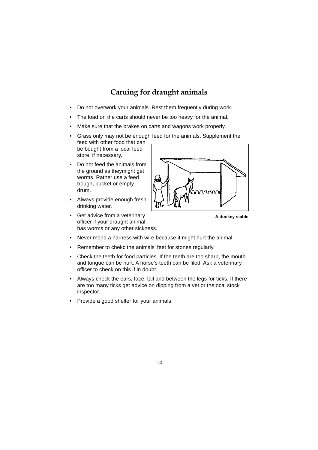# **Caruing for draught animals**

- Do not overwork your animals. Rest them frequently during work.
- The load on the carts should never be too heavy for the animal.
- Make sure that the brakes on carts and wagons work properly.
- Grass only may not be enough feed for the animals. Supplement the feed with other food that can be bought from a local feed store, if necessary.
- Do not feed the animals from the ground as theymight get worms. Rather use a feed trough, bucket or empty drum.
- Always provide enough fresh drinking water.
- Get advice from a veterinary officer if your draught animal has worms or any other sickness.



**A donkey stable**

- Never mend a harness with wire because it might hurt the animal.
- Remember to chekc the animals' feet for stones regularly.
- Check the teeth for food particles. If the teeth are too sharp, the mouth and tongue can be hurt. A horse's teeth can be filed. Ask a veterinary officer to check on this if in doubt.
- Always check the ears, face, tail and between the legs for ticks. If there are too many ticks get advice on dipping from a vet or thelocal stock inspector.
- Provide a good shelter for your animals.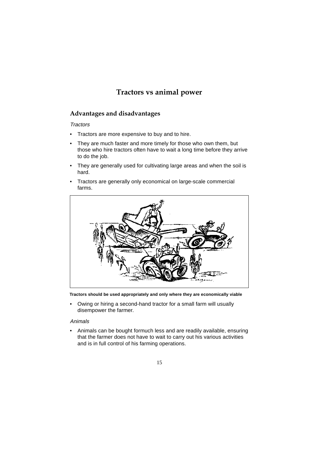# **Tractors vs animal power**

#### **Advantages and disadvantages**

#### **Tractors**

- Tractors are more expensive to buy and to hire.
- They are much faster and more timely for those who own them, but those who hire tractors often have to wait a long time before they arrive to do the job.
- They are generally used for cultivating large areas and when the soil is hard.
- Tractors are generally only economical on large-scale commercial farms.



**Tractors should be used appropriately and only where they are economically viable**

• Owing or hiring a second-hand tractor for a small farm will usually disempower the farmer.

#### Animals

• Animals can be bought formuch less and are readily available, ensuring that the farmer does not have to wait to carry out his various activities and is in full control of his farming operations.

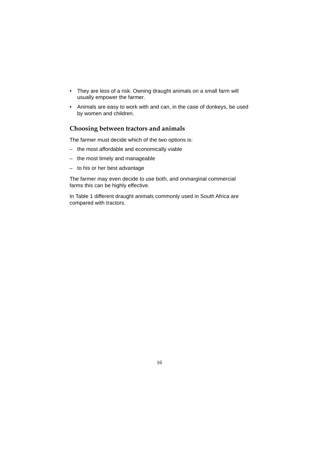- They are less of a risk. Owning draught animals on a small farm will usually empower the farmer.
- Animals are easy to work with and can, in the case of donkeys, be used by women and children.

#### **Choosing between tractors and animals**

The farmer must decide which of the two options is:

- the most affordable and economically viable
- the most timely and manageable
- to his or her best advantage

The farmer may even decide to use both, and onmarginal commercial farms this can be highly effective.

In Table 1 different draught animals commonly used in South Africa are compared with tractors.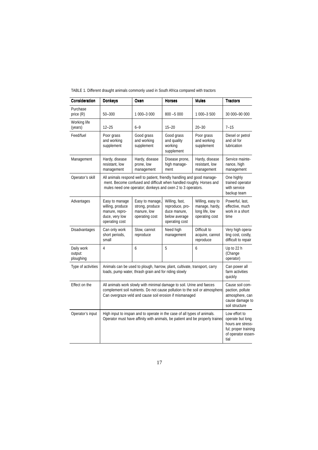| Consideration                      | <b>Donkeys</b>                                                                                                                                                                                                  | Oxen                                                                | <b>Horses</b>                                                                        | <b>Mules</b>                                                           | <b>Tractors</b>                                                                                              |
|------------------------------------|-----------------------------------------------------------------------------------------------------------------------------------------------------------------------------------------------------------------|---------------------------------------------------------------------|--------------------------------------------------------------------------------------|------------------------------------------------------------------------|--------------------------------------------------------------------------------------------------------------|
| Purchase<br>price $(R)$            | $50 - 300$                                                                                                                                                                                                      | 1 000-3 000                                                         | $800 - 5000$                                                                         | 1 000-3 500                                                            | 30 000-90 000                                                                                                |
| Working life<br>(years)            | $12 - 25$                                                                                                                                                                                                       | $6 - 9$                                                             | $15 - 20$                                                                            | $20 - 30$                                                              | $7 - 15$                                                                                                     |
| Feed/fuel                          | Poor grass<br>and working<br>supplement                                                                                                                                                                         | Good grass<br>and working<br>supplement                             | Good grass<br>and quality<br>working<br>supplement                                   | Poor grass<br>and working<br>supplement                                | Diesel or petrol<br>and oil for<br>lubrication                                                               |
| Management                         | Hardy, disease<br>resistant, low<br>management                                                                                                                                                                  | Hardy, disease<br>prone, low<br>management                          | Disease prone,<br>high manage-<br>ment                                               | Hardy, disease<br>resistant, low<br>management                         | Service mainte-<br>nance, high<br>management                                                                 |
| Operator's skill                   | All animals respond well to patient, friendly handling and good manage-<br>ment. Become confused and difficult when handled roughly. Horses and<br>mules need one operator; donkeys and oxen 2 to 3 operators.  |                                                                     |                                                                                      |                                                                        | One highly<br>trained operator<br>with service<br>backup team                                                |
| Advantages                         | Easy to manage<br>willing, produce<br>manure, repro-<br>duce, very low<br>operating cost                                                                                                                        | Easy to manage,<br>strong, produce<br>manure, low<br>operating cost | Willing, fast,<br>reproduce, pro-<br>duce manure,<br>below average<br>operating cost | Willing, easy to<br>manage, hardy,<br>long life, low<br>operating cost | Powerful, last,<br>effective, much<br>work in a short<br>time                                                |
| Disadvantages                      | Can only work<br>short periods,<br>small                                                                                                                                                                        | Slow, cannot<br>reproduce                                           | Need high<br>management                                                              | Difficult to<br>acquire, cannot<br>reproduce                           | Very high opera-<br>ting cost, costly,<br>difficult to repair                                                |
| Daily work<br>output:<br>ploughing | 4                                                                                                                                                                                                               | 6                                                                   | 5                                                                                    | 6                                                                      | Up to 22 h<br>(Change<br>operator)                                                                           |
| Type of activities                 | Animals can be used to plough, harrow, plant, cultivate, transport, carry<br>loads, pump water, thrash grain and for riding slowly                                                                              |                                                                     |                                                                                      |                                                                        | Can power all<br>farm activities<br>quickly                                                                  |
| Effect on the                      | All animals work slowly with minimal damage to soil. Urine and faeces<br>complement soil nutrients. Do not cause pollution to the soil or atmosphere<br>Can overgraze veld and cause soil erosion if mismanaged |                                                                     |                                                                                      |                                                                        | Cause soil com-<br>paction, pollute<br>atmosphere, can<br>cause damage to<br>soil structure                  |
| Operator's input                   | High input to inspan and to operate in the case of all types of animals.<br>Operator must have affinity with animals, be patient and be properly trained                                                        |                                                                     |                                                                                      |                                                                        | Low effort to<br>operate but long<br>hours are stress-<br>ful; proper training<br>of operator essen-<br>tial |

TABLE 1. Different draught animals commonly used in South Africa compared with tractors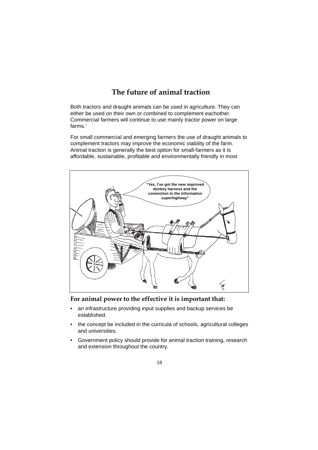# **The future of animal traction**

Both tractors and draught animals can be used in agriculture. They can either be used on their own or combined to complement eachother. Commercial farmers will continue to use mainly tractor power on large farms.'

For small commercial and emerging farmers the use of draught animals to complement tractors may improve the economic viability of the farm. Animal traction is generally the best option for small-farmers as it is affordable, sustainable, profitable and environmentally friendly in most



**For animal power to the effective it is important that:**

- an infrastructure providing input supplies and backup services be established.
- the concept be included in the curricula of schools, agricultural colleges and universities.
- Government policy should provide for animal traction training, research and extension throughout the country.